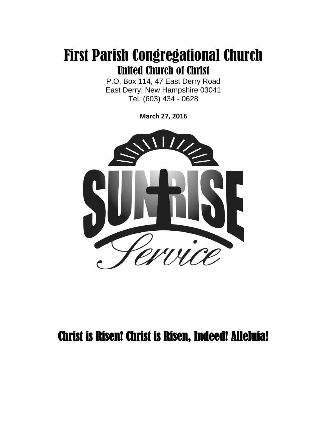# First Parish Congregational Church United Church of Christ

P.O. Box 114, 47 East Derry Road East Derry, New Hampshire 03041 Tel. (603) 434 - 0628

**March 27, 2016**



## Christ is Risen! Christ is Risen, Indeed! Alleluia!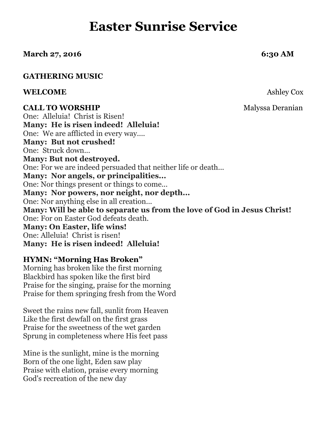## **Easter Sunrise Service**

### **March 27, 2016** 6:30 **AM**

#### **GATHERING MUSIC**

#### **WELCOME** Ashley Cox

#### **CALL TO WORSHIP** Malyssa Deranian

One: Alleluia! Christ is Risen! **Many: He is risen indeed! Alleluia!** One: We are afflicted in every way.... **Many: But not crushed!** One: Struck down... **Many: But not destroyed.** One: For we are indeed persuaded that neither life or death... **Many: Nor angels, or principalities...** One: Nor things present or things to come... **Many: Nor powers, nor neight, nor depth...** One: Nor anything else in all creation... **Many: Will be able to separate us from the love of God in Jesus Christ!** One: For on Easter God defeats death. **Many: On Easter, life wins!** One: Alleluia! Christ is risen! **Many: He is risen indeed! Alleluia!**

#### **HYMN: "Morning Has Broken"**

Morning has broken like the first morning Blackbird has spoken like the first bird Praise for the singing, praise for the morning Praise for them springing fresh from the Word

Sweet the rains new fall, sunlit from Heaven Like the first dewfall on the first grass Praise for the sweetness of the wet garden Sprung in completeness where His feet pass

Mine is the sunlight, mine is the morning Born of the one light, Eden saw play Praise with elation, praise every morning God's recreation of the new day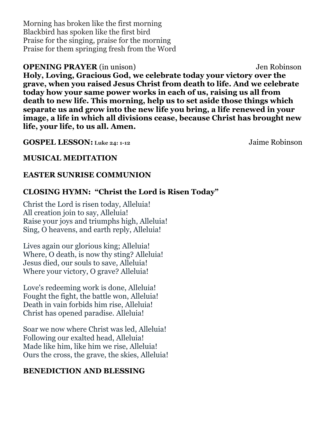Morning has broken like the first morning Blackbird has spoken like the first bird Praise for the singing, praise for the morning Praise for them springing fresh from the Word

**OPENING PRAYER** (in unison) Jen Robinson **Holy, Loving, Gracious God, we celebrate today your victory over the grave, when you raised Jesus Christ from death to life. And we celebrate today how your same power works in each of us, raising us all from death to new life. This morning, help us to set aside those things which separate us and grow into the new life you bring, a life renewed in your image, a life in which all divisions cease, because Christ has brought new life, your life, to us all. Amen.**

**GOSPEL LESSON: Luke 24: 1-12** Jaime Robinson

### **MUSICAL MEDITATION**

#### **EASTER SUNRISE COMMUNION**

#### **CLOSING HYMN: "Christ the Lord is Risen Today"**

Christ the Lord is risen today, Alleluia! All creation join to say, Alleluia! Raise your joys and triumphs high, Alleluia! Sing, O heavens, and earth reply, Alleluia!

Lives again our glorious king; Alleluia! Where, O death, is now thy sting? Alleluia! Jesus died, our souls to save, Alleluia! Where your victory, O grave? Alleluia!

Love's redeeming work is done, Alleluia! Fought the fight, the battle won, Alleluia! Death in vain forbids him rise, Alleluia! Christ has opened paradise. Alleluia!

Soar we now where Christ was led, Alleluia! Following our exalted head, Alleluia! Made like him, like him we rise, Alleluia! Ours the cross, the grave, the skies, Alleluia!

### **BENEDICTION AND BLESSING**